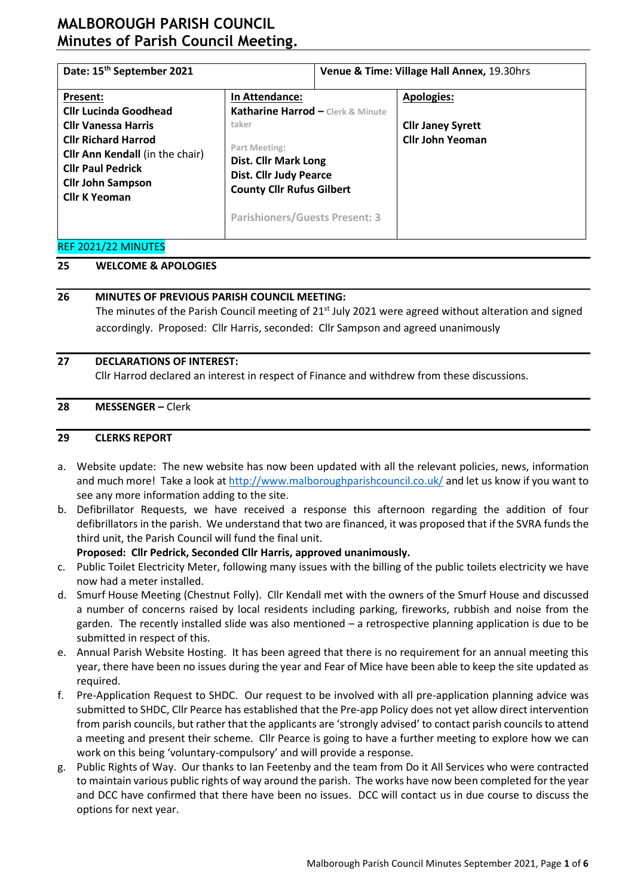| Date: 15 <sup>th</sup> September 2021                                                                                                                                       |                                                                                                                                                              | Venue & Time: Village Hall Annex, 19.30hrs |                                                     |  |  |  |
|-----------------------------------------------------------------------------------------------------------------------------------------------------------------------------|--------------------------------------------------------------------------------------------------------------------------------------------------------------|--------------------------------------------|-----------------------------------------------------|--|--|--|
| Present:<br><b>Cllr Lucinda Goodhead</b>                                                                                                                                    | In Attendance:<br>Katharine Harrod - Clerk & Minute                                                                                                          |                                            | <b>Apologies:</b>                                   |  |  |  |
| <b>Cllr Vanessa Harris</b><br><b>Cllr Richard Harrod</b><br>Cllr Ann Kendall (in the chair)<br><b>Cllr Paul Pedrick</b><br><b>Cllr John Sampson</b><br><b>Cllr K Yeoman</b> | taker<br>Part Meeting:<br>Dist. Cllr Mark Long<br><b>Dist. Cllr Judy Pearce</b><br><b>County Cllr Rufus Gilbert</b><br><b>Parishioners/Guests Present: 3</b> |                                            | <b>Cllr Janey Syrett</b><br><b>Cllr John Yeoman</b> |  |  |  |

#### REF 2021/22 MINUTES

## **25 WELCOME & APOLOGIES**

## **26 MINUTES OF PREVIOUS PARISH COUNCIL MEETING:**

The minutes of the Parish Council meeting of 21<sup>st</sup> July 2021 were agreed without alteration and signed accordingly. Proposed: Cllr Harris, seconded: Cllr Sampson and agreed unanimously

#### **27 DECLARATIONS OF INTEREST:**

Cllr Harrod declared an interest in respect of Finance and withdrew from these discussions.

#### **28 MESSENGER –** Clerk

#### **29 CLERKS REPORT**

- a. Website update: The new website has now been updated with all the relevant policies, news, information and much more! Take a look at<http://www.malboroughparishcouncil.co.uk/> and let us know if you want to see any more information adding to the site.
- b. Defibrillator Requests, we have received a response this afternoon regarding the addition of four defibrillators in the parish. We understand that two are financed, it was proposed that if the SVRA funds the third unit, the Parish Council will fund the final unit.

## **Proposed: Cllr Pedrick, Seconded Cllr Harris, approved unanimously.**

- c. Public Toilet Electricity Meter, following many issues with the billing of the public toilets electricity we have now had a meter installed.
- d. Smurf House Meeting (Chestnut Folly). Cllr Kendall met with the owners of the Smurf House and discussed a number of concerns raised by local residents including parking, fireworks, rubbish and noise from the garden. The recently installed slide was also mentioned – a retrospective planning application is due to be submitted in respect of this.
- e. Annual Parish Website Hosting. It has been agreed that there is no requirement for an annual meeting this year, there have been no issues during the year and Fear of Mice have been able to keep the site updated as required.
- f. Pre-Application Request to SHDC. Our request to be involved with all pre-application planning advice was submitted to SHDC, Cllr Pearce has established that the Pre-app Policy does not yet allow direct intervention from parish councils, but rather that the applicants are 'strongly advised' to contact parish councils to attend a meeting and present their scheme. Cllr Pearce is going to have a further meeting to explore how we can work on this being 'voluntary-compulsory' and will provide a response.
- g. Public Rights of Way. Our thanks to Ian Feetenby and the team from Do it All Services who were contracted to maintain various public rights of way around the parish. The works have now been completed for the year and DCC have confirmed that there have been no issues. DCC will contact us in due course to discuss the options for next year.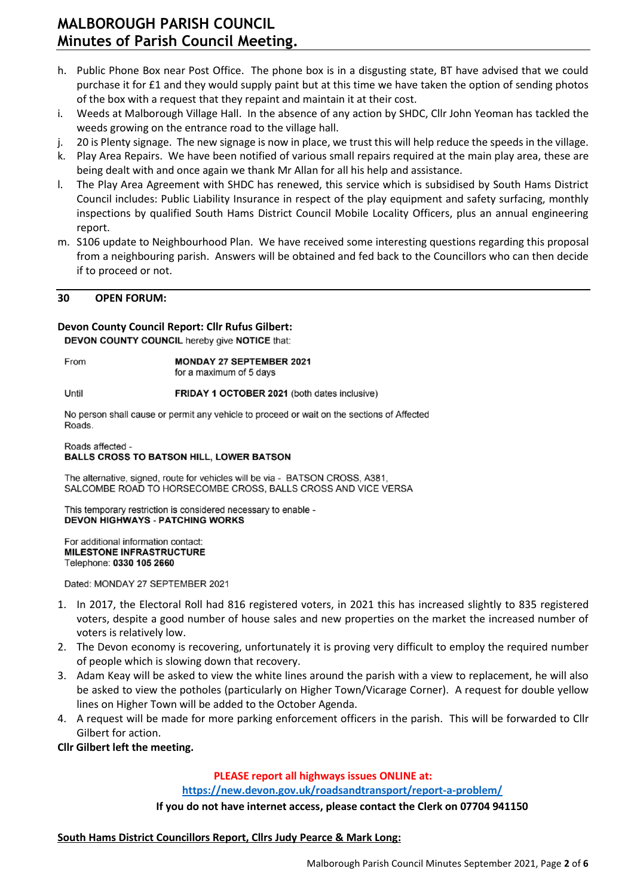- h. Public Phone Box near Post Office. The phone box is in a disgusting state, BT have advised that we could purchase it for £1 and they would supply paint but at this time we have taken the option of sending photos of the box with a request that they repaint and maintain it at their cost.
- i. Weeds at Malborough Village Hall. In the absence of any action by SHDC, Cllr John Yeoman has tackled the weeds growing on the entrance road to the village hall.
- j. 20 is Plenty signage. The new signage is now in place, we trust this will help reduce the speeds in the village.
- k. Play Area Repairs. We have been notified of various small repairs required at the main play area, these are being dealt with and once again we thank Mr Allan for all his help and assistance.
- l. The Play Area Agreement with SHDC has renewed, this service which is subsidised by South Hams District Council includes: Public Liability Insurance in respect of the play equipment and safety surfacing, monthly inspections by qualified South Hams District Council Mobile Locality Officers, plus an annual engineering report.
- m. S106 update to Neighbourhood Plan. We have received some interesting questions regarding this proposal from a neighbouring parish. Answers will be obtained and fed back to the Councillors who can then decide if to proceed or not.

#### **30 OPEN FORUM:**

## **Devon County Council Report: Cllr Rufus Gilbert:**

DEVON COUNTY COUNCIL hereby give NOTICE that:

From

**MONDAY 27 SEPTEMBER 2021** for a maximum of 5 days

Until FRIDAY 1 OCTOBER 2021 (both dates inclusive)

No person shall cause or permit any vehicle to proceed or wait on the sections of Affected Roads

#### Roads affected -**BALLS CROSS TO BATSON HILL, LOWER BATSON**

The alternative, signed, route for vehicles will be via - BATSON CROSS, A381. SALCOMBE ROAD TO HORSECOMBE CROSS, BALLS CROSS AND VICE VERSA

This temporary restriction is considered necessary to enable -**DEVON HIGHWAYS - PATCHING WORKS** 

For additional information contact: **MILESTONE INFRASTRUCTURE** Telephone: 0330 105 2660

Dated: MONDAY 27 SEPTEMBER 2021

- 1. In 2017, the Electoral Roll had 816 registered voters, in 2021 this has increased slightly to 835 registered voters, despite a good number of house sales and new properties on the market the increased number of voters is relatively low.
- 2. The Devon economy is recovering, unfortunately it is proving very difficult to employ the required number of people which is slowing down that recovery.
- 3. Adam Keay will be asked to view the white lines around the parish with a view to replacement, he will also be asked to view the potholes (particularly on Higher Town/Vicarage Corner). A request for double yellow lines on Higher Town will be added to the October Agenda.
- 4. A request will be made for more parking enforcement officers in the parish. This will be forwarded to Cllr Gilbert for action.

**Cllr Gilbert left the meeting.**

### **PLEASE report all highways issues ONLINE at:**

**<https://new.devon.gov.uk/roadsandtransport/report-a-problem/>**

**If you do not have internet access, please contact the Clerk on 07704 941150**

### **South Hams District Councillors Report, Cllrs Judy Pearce & Mark Long:**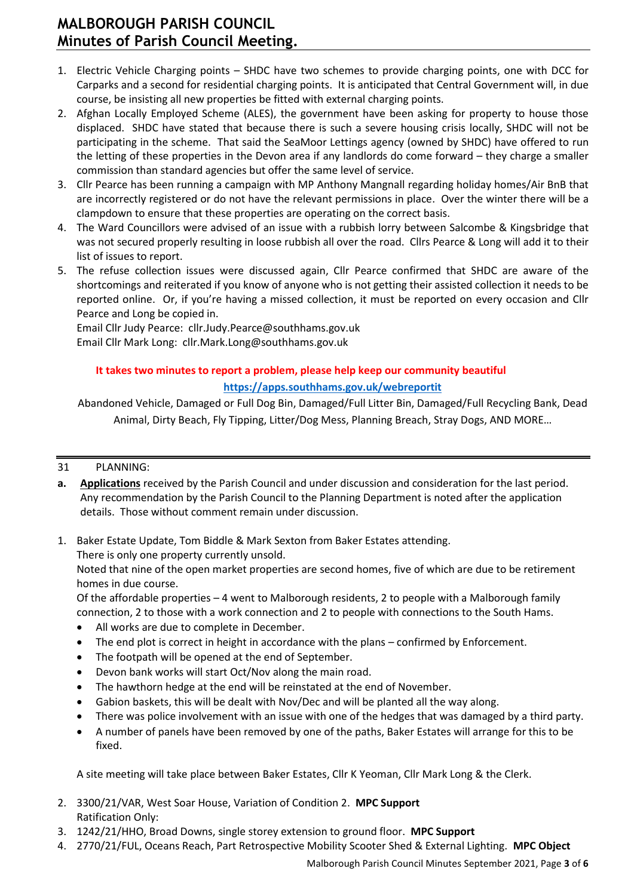- 1. Electric Vehicle Charging points SHDC have two schemes to provide charging points, one with DCC for Carparks and a second for residential charging points. It is anticipated that Central Government will, in due course, be insisting all new properties be fitted with external charging points.
- 2. Afghan Locally Employed Scheme (ALES), the government have been asking for property to house those displaced. SHDC have stated that because there is such a severe housing crisis locally, SHDC will not be participating in the scheme. That said the SeaMoor Lettings agency (owned by SHDC) have offered to run the letting of these properties in the Devon area if any landlords do come forward – they charge a smaller commission than standard agencies but offer the same level of service.
- 3. Cllr Pearce has been running a campaign with MP Anthony Mangnall regarding holiday homes/Air BnB that are incorrectly registered or do not have the relevant permissions in place. Over the winter there will be a clampdown to ensure that these properties are operating on the correct basis.
- 4. The Ward Councillors were advised of an issue with a rubbish lorry between Salcombe & Kingsbridge that was not secured properly resulting in loose rubbish all over the road. Cllrs Pearce & Long will add it to their list of issues to report.
- 5. The refuse collection issues were discussed again, Cllr Pearce confirmed that SHDC are aware of the shortcomings and reiterated if you know of anyone who is not getting their assisted collection it needs to be reported online. Or, if you're having a missed collection, it must be reported on every occasion and Cllr Pearce and Long be copied in.

Email Cllr Judy Pearce: cllr.Judy.Pearce@southhams.gov.uk Email Cllr Mark Long: cllr.Mark.Long@southhams.gov.uk

## **It takes two minutes to report a problem, please help keep our community beautiful <https://apps.southhams.gov.uk/webreportit>**

Abandoned Vehicle, Damaged or Full Dog Bin, Damaged/Full Litter Bin, Damaged/Full Recycling Bank, Dead Animal, Dirty Beach, Fly Tipping, Litter/Dog Mess, Planning Breach, Stray Dogs, AND MORE…

## 31 PLANNING:

- **a. Applications** received by the Parish Council and under discussion and consideration for the last period. Any recommendation by the Parish Council to the Planning Department is noted after the application details. Those without comment remain under discussion.
- 1. Baker Estate Update, Tom Biddle & Mark Sexton from Baker Estates attending.

There is only one property currently unsold.

Noted that nine of the open market properties are second homes, five of which are due to be retirement homes in due course.

Of the affordable properties – 4 went to Malborough residents, 2 to people with a Malborough family connection, 2 to those with a work connection and 2 to people with connections to the South Hams.

- All works are due to complete in December.
- The end plot is correct in height in accordance with the plans confirmed by Enforcement.
- The footpath will be opened at the end of September.
- Devon bank works will start Oct/Nov along the main road.
- The hawthorn hedge at the end will be reinstated at the end of November.
- Gabion baskets, this will be dealt with Nov/Dec and will be planted all the way along.
- There was police involvement with an issue with one of the hedges that was damaged by a third party.
- A number of panels have been removed by one of the paths, Baker Estates will arrange for this to be fixed.

A site meeting will take place between Baker Estates, Cllr K Yeoman, Cllr Mark Long & the Clerk.

- 2. 3300/21/VAR, West Soar House, Variation of Condition 2. **MPC Support** Ratification Only:
- 3. 1242/21/HHO, Broad Downs, single storey extension to ground floor. **MPC Support**
- 4. 2770/21/FUL, Oceans Reach, Part Retrospective Mobility Scooter Shed & External Lighting. **MPC Object**

Malborough Parish Council Minutes September 2021, Page **3** of **6**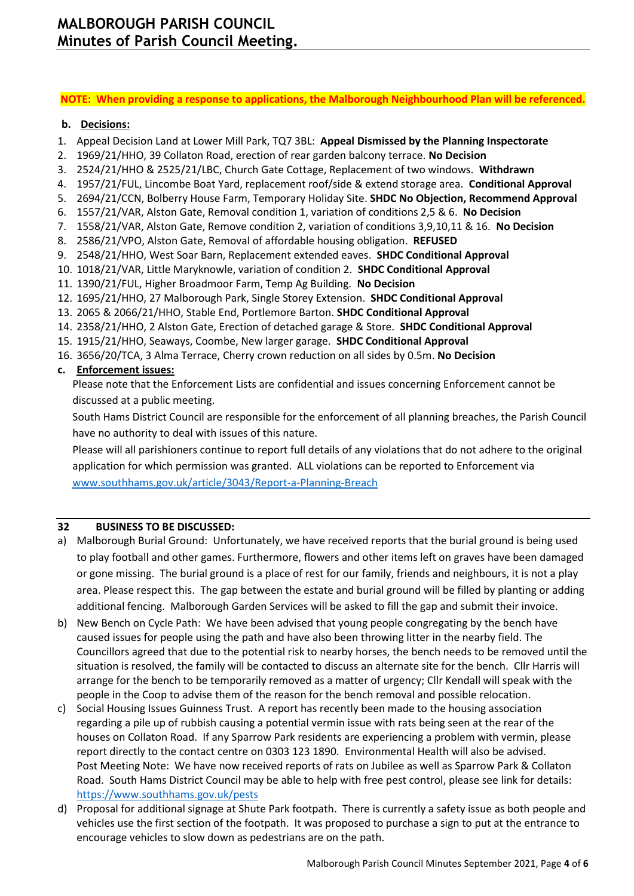#### **NOTE: When providing a response to applications, the Malborough Neighbourhood Plan will be referenced.**

## **b. Decisions:**

- 1. Appeal Decision Land at Lower Mill Park, TQ7 3BL: **Appeal Dismissed by the Planning Inspectorate**
- 2. 1969/21/HHO, 39 Collaton Road, erection of rear garden balcony terrace. **No Decision**
- 3. 2524/21/HHO & 2525/21/LBC, Church Gate Cottage, Replacement of two windows. **Withdrawn**
- 4. 1957/21/FUL, Lincombe Boat Yard, replacement roof/side & extend storage area. **Conditional Approval**
- 5. 2694/21/CCN, Bolberry House Farm, Temporary Holiday Site. **SHDC No Objection, Recommend Approval**
- 6. 1557/21/VAR, Alston Gate, Removal condition 1, variation of conditions 2,5 & 6. **No Decision**
- 7. 1558/21/VAR, Alston Gate, Remove condition 2, variation of conditions 3,9,10,11 & 16. **No Decision**
- 8. 2586/21/VPO, Alston Gate, Removal of affordable housing obligation. **REFUSED**
- 9. 2548/21/HHO, West Soar Barn, Replacement extended eaves. **SHDC Conditional Approval**
- 10. 1018/21/VAR, Little Maryknowle, variation of condition 2. **SHDC Conditional Approval**
- 11. 1390/21/FUL, Higher Broadmoor Farm, Temp Ag Building. **No Decision**
- 12. 1695/21/HHO, 27 Malborough Park, Single Storey Extension. **SHDC Conditional Approval**
- 13. 2065 & 2066/21/HHO, Stable End, Portlemore Barton. **SHDC Conditional Approval**
- 14. 2358/21/HHO, 2 Alston Gate, Erection of detached garage & Store. **SHDC Conditional Approval**
- 15. 1915/21/HHO, Seaways, Coombe, New larger garage. **SHDC Conditional Approval**
- 16. 3656/20/TCA, 3 Alma Terrace, Cherry crown reduction on all sides by 0.5m. **No Decision**

## **c. Enforcement issues:**

Please note that the Enforcement Lists are confidential and issues concerning Enforcement cannot be discussed at a public meeting.

South Hams District Council are responsible for the enforcement of all planning breaches, the Parish Council have no authority to deal with issues of this nature.

Please will all parishioners continue to report full details of any violations that do not adhere to the original application for which permission was granted. ALL violations can be reported to Enforcement via [www.southhams.gov.uk/article/3043/Report-a-Planning-Breach](http://www.southhams.gov.uk/article/3043/Report-a-Planning-Breach)

### **32 BUSINESS TO BE DISCUSSED:**

- a) Malborough Burial Ground: Unfortunately, we have received reports that the burial ground is being used to play football and other games. Furthermore, flowers and other items left on graves have been damaged or gone missing. The burial ground is a place of rest for our family, friends and neighbours, it is not a play area. Please respect this. The gap between the estate and burial ground will be filled by planting or adding additional fencing. Malborough Garden Services will be asked to fill the gap and submit their invoice.
- b) New Bench on Cycle Path: We have been advised that young people congregating by the bench have caused issues for people using the path and have also been throwing litter in the nearby field. The Councillors agreed that due to the potential risk to nearby horses, the bench needs to be removed until the situation is resolved, the family will be contacted to discuss an alternate site for the bench. Cllr Harris will arrange for the bench to be temporarily removed as a matter of urgency; Cllr Kendall will speak with the people in the Coop to advise them of the reason for the bench removal and possible relocation.
- c) Social Housing Issues Guinness Trust. A report has recently been made to the housing association regarding a pile up of rubbish causing a potential vermin issue with rats being seen at the rear of the houses on Collaton Road. If any Sparrow Park residents are experiencing a problem with vermin, please report directly to the contact centre on 0303 123 1890. Environmental Health will also be advised. Post Meeting Note: We have now received reports of rats on Jubilee as well as Sparrow Park & Collaton Road. South Hams District Council may be able to help with free pest control, please see link for details: <https://www.southhams.gov.uk/pests>
- d) Proposal for additional signage at Shute Park footpath. There is currently a safety issue as both people and vehicles use the first section of the footpath. It was proposed to purchase a sign to put at the entrance to encourage vehicles to slow down as pedestrians are on the path.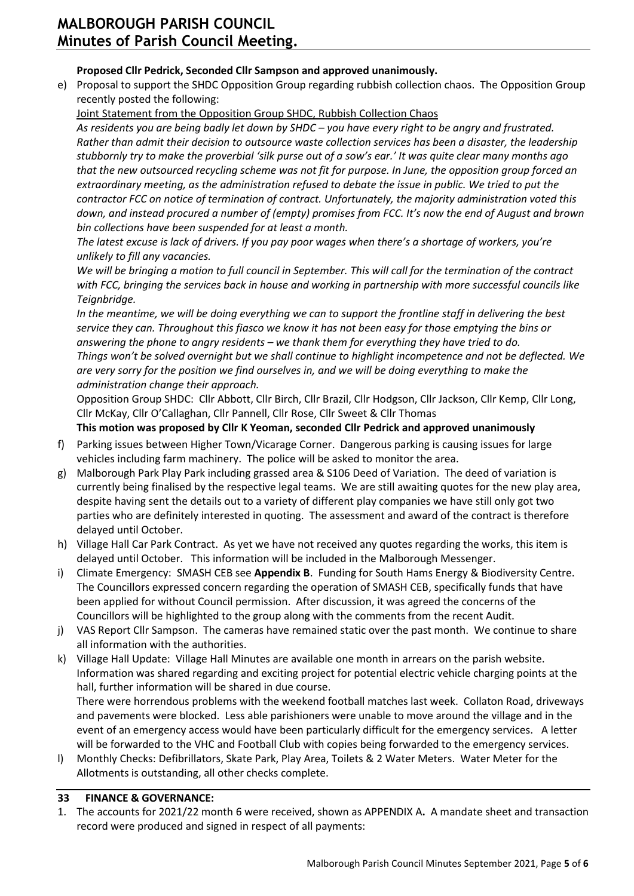## **Proposed Cllr Pedrick, Seconded Cllr Sampson and approved unanimously.**

e) Proposal to support the SHDC Opposition Group regarding rubbish collection chaos. The Opposition Group recently posted the following:

Joint Statement from the Opposition Group SHDC, Rubbish Collection Chaos

*As residents you are being badly let down by SHDC – you have every right to be angry and frustrated. Rather than admit their decision to outsource waste collection services has been a disaster, the leadership stubbornly try to make the proverbial 'silk purse out of a sow's ear.' It was quite clear many months ago that the new outsourced recycling scheme was not fit for purpose. In June, the opposition group forced an extraordinary meeting, as the administration refused to debate the issue in public. We tried to put the contractor FCC on notice of termination of contract. Unfortunately, the majority administration voted this down, and instead procured a number of (empty) promises from FCC. It's now the end of August and brown bin collections have been suspended for at least a month.*

*The latest excuse is lack of drivers. If you pay poor wages when there's a shortage of workers, you're unlikely to fill any vacancies.*

*We will be bringing a motion to full council in September. This will call for the termination of the contract with FCC, bringing the services back in house and working in partnership with more successful councils like Teignbridge.*

*In the meantime, we will be doing everything we can to support the frontline staff in delivering the best service they can. Throughout this fiasco we know it has not been easy for those emptying the bins or answering the phone to angry residents – we thank them for everything they have tried to do. Things won't be solved overnight but we shall continue to highlight incompetence and not be deflected. We are very sorry for the position we find ourselves in, and we will be doing everything to make the administration change their approach.*

Opposition Group SHDC: Cllr Abbott, Cllr Birch, Cllr Brazil, Cllr Hodgson, Cllr Jackson, Cllr Kemp, Cllr Long, Cllr McKay, Cllr O'Callaghan, Cllr Pannell, Cllr Rose, Cllr Sweet & Cllr Thomas

## **This motion was proposed by Cllr K Yeoman, seconded Cllr Pedrick and approved unanimously**

- f) Parking issues between Higher Town/Vicarage Corner. Dangerous parking is causing issues for large vehicles including farm machinery. The police will be asked to monitor the area.
- g) Malborough Park Play Park including grassed area & S106 Deed of Variation. The deed of variation is currently being finalised by the respective legal teams. We are still awaiting quotes for the new play area, despite having sent the details out to a variety of different play companies we have still only got two parties who are definitely interested in quoting. The assessment and award of the contract is therefore delayed until October.
- h) Village Hall Car Park Contract. As yet we have not received any quotes regarding the works, this item is delayed until October. This information will be included in the Malborough Messenger.
- i) Climate Emergency: SMASH CEB see **Appendix B**. Funding for South Hams Energy & Biodiversity Centre. The Councillors expressed concern regarding the operation of SMASH CEB, specifically funds that have been applied for without Council permission. After discussion, it was agreed the concerns of the Councillors will be highlighted to the group along with the comments from the recent Audit.
- j) VAS Report Cllr Sampson. The cameras have remained static over the past month. We continue to share all information with the authorities.
- k) Village Hall Update: Village Hall Minutes are available one month in arrears on the parish website. Information was shared regarding and exciting project for potential electric vehicle charging points at the hall, further information will be shared in due course.

There were horrendous problems with the weekend football matches last week. Collaton Road, driveways and pavements were blocked. Less able parishioners were unable to move around the village and in the event of an emergency access would have been particularly difficult for the emergency services. A letter will be forwarded to the VHC and Football Club with copies being forwarded to the emergency services.

l) Monthly Checks: Defibrillators, Skate Park, Play Area, Toilets & 2 Water Meters. Water Meter for the Allotments is outstanding, all other checks complete.

## **33 FINANCE & GOVERNANCE:**

1. The accounts for 2021/22 month 6 were received, shown as APPENDIX A**.** A mandate sheet and transaction record were produced and signed in respect of all payments: